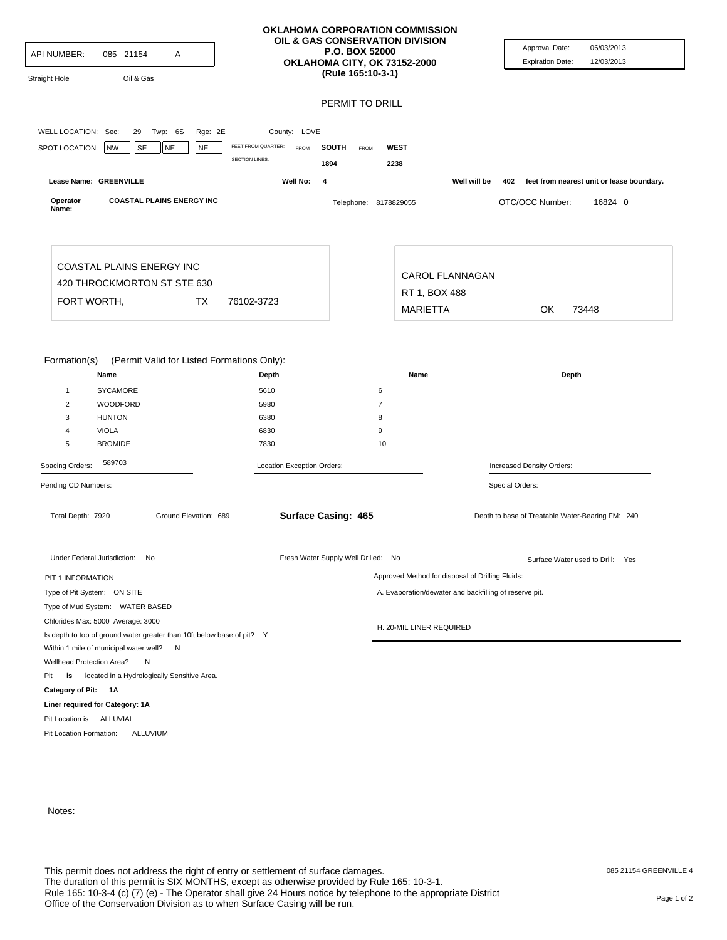| <b>API NUMBER:</b><br>Straight Hole                              | 085 21154<br>Oil & Gas                                                                                             | Α                      |                                                                    | OKLAHOMA CORPORATION COMMISSION<br>OIL & GAS CONSERVATION DIVISION<br>P.O. BOX 52000<br>OKLAHOMA CITY, OK 73152-2000<br>(Rule 165:10-3-1) |                                                  |              | Approval Date:<br><b>Expiration Date:</b>        | 06/03/2013<br>12/03/2013                      |  |
|------------------------------------------------------------------|--------------------------------------------------------------------------------------------------------------------|------------------------|--------------------------------------------------------------------|-------------------------------------------------------------------------------------------------------------------------------------------|--------------------------------------------------|--------------|--------------------------------------------------|-----------------------------------------------|--|
|                                                                  |                                                                                                                    |                        |                                                                    | <b>PERMIT TO DRILL</b>                                                                                                                    |                                                  |              |                                                  |                                               |  |
|                                                                  |                                                                                                                    |                        |                                                                    |                                                                                                                                           |                                                  |              |                                                  |                                               |  |
| WELL LOCATION: Sec:                                              | Twp: 6S<br>29                                                                                                      | Rge: 2E                | County: LOVE<br>FEET FROM QUARTER:                                 |                                                                                                                                           |                                                  |              |                                                  |                                               |  |
| SPOT LOCATION:                                                   | NW<br><b>SE</b>                                                                                                    | <b>NE</b><br><b>NE</b> | FROM<br><b>SECTION LINES:</b>                                      | <b>SOUTH</b><br>FROM<br>1894                                                                                                              | <b>WEST</b><br>2238                              |              |                                                  |                                               |  |
|                                                                  | Lease Name: GREENVILLE                                                                                             |                        | Well No:<br>4                                                      |                                                                                                                                           |                                                  | Well will be |                                                  | 402 feet from nearest unit or lease boundary. |  |
| Operator<br>Name:                                                | <b>COASTAL PLAINS ENERGY INC</b>                                                                                   |                        |                                                                    | Telephone: 8178829055                                                                                                                     |                                                  |              | OTC/OCC Number:                                  | 16824 0                                       |  |
|                                                                  | COASTAL PLAINS ENERGY INC<br>420 THROCKMORTON ST STE 630                                                           |                        |                                                                    |                                                                                                                                           | <b>CAROL FLANNAGAN</b>                           |              |                                                  |                                               |  |
|                                                                  |                                                                                                                    |                        | 76102-3723                                                         |                                                                                                                                           | RT 1, BOX 488                                    |              |                                                  |                                               |  |
| FORT WORTH,<br>TX                                                |                                                                                                                    |                        |                                                                    |                                                                                                                                           | <b>MARIETTA</b>                                  |              | OK<br>73448                                      |                                               |  |
| $\mathbf{1}$<br>$\overline{2}$<br>3<br>4<br>5<br>Spacing Orders: | <b>SYCAMORE</b><br>WOODFORD<br><b>HUNTON</b><br><b>VIOLA</b><br><b>BROMIDE</b><br>589703                           |                        | 5610<br>5980<br>6380<br>6830<br>7830<br>Location Exception Orders: | 6<br>$\overline{7}$<br>8<br>9<br>10                                                                                                       |                                                  |              | Increased Density Orders:                        |                                               |  |
| Pending CD Numbers:                                              |                                                                                                                    |                        |                                                                    |                                                                                                                                           |                                                  |              | Special Orders:                                  |                                               |  |
| Total Depth: 7920                                                |                                                                                                                    | Ground Elevation: 689  |                                                                    | <b>Surface Casing: 465</b>                                                                                                                |                                                  |              | Depth to base of Treatable Water-Bearing FM: 240 |                                               |  |
| Under Federal Jurisdiction: No                                   |                                                                                                                    |                        |                                                                    | Fresh Water Supply Well Drilled: No                                                                                                       |                                                  |              | Surface Water used to Drill: Yes                 |                                               |  |
| PIT 1 INFORMATION                                                |                                                                                                                    |                        |                                                                    |                                                                                                                                           | Approved Method for disposal of Drilling Fluids: |              |                                                  |                                               |  |
|                                                                  | Type of Pit System: ON SITE                                                                                        |                        |                                                                    | A. Evaporation/dewater and backfilling of reserve pit.                                                                                    |                                                  |              |                                                  |                                               |  |
|                                                                  | Type of Mud System: WATER BASED                                                                                    |                        |                                                                    |                                                                                                                                           |                                                  |              |                                                  |                                               |  |
|                                                                  | Chlorides Max: 5000 Average: 3000                                                                                  |                        | H. 20-MIL LINER REQUIRED                                           |                                                                                                                                           |                                                  |              |                                                  |                                               |  |
|                                                                  | Is depth to top of ground water greater than 10ft below base of pit? Y<br>Within 1 mile of municipal water well? N |                        |                                                                    |                                                                                                                                           |                                                  |              |                                                  |                                               |  |
| Wellhead Protection Area?                                        | N                                                                                                                  |                        |                                                                    |                                                                                                                                           |                                                  |              |                                                  |                                               |  |
| Pit<br>is                                                        | located in a Hydrologically Sensitive Area.                                                                        |                        |                                                                    |                                                                                                                                           |                                                  |              |                                                  |                                               |  |
| Category of Pit: 1A                                              |                                                                                                                    |                        |                                                                    |                                                                                                                                           |                                                  |              |                                                  |                                               |  |
|                                                                  | Liner required for Category: 1A                                                                                    |                        |                                                                    |                                                                                                                                           |                                                  |              |                                                  |                                               |  |
| Pit Location is ALLUVIAL                                         |                                                                                                                    |                        |                                                                    |                                                                                                                                           |                                                  |              |                                                  |                                               |  |
| Pit Location Formation:                                          | ALLUVIUM                                                                                                           |                        |                                                                    |                                                                                                                                           |                                                  |              |                                                  |                                               |  |

Notes: